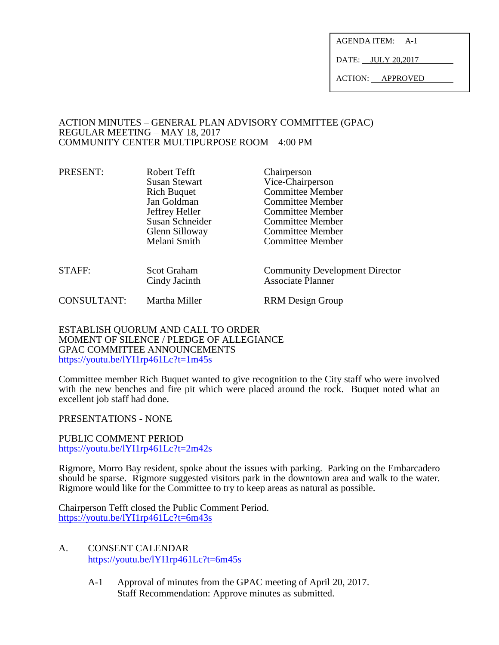AGENDA ITEM: A-1

DATE: JULY 20,2017

ACTION: APPROVED

## ACTION MINUTES – GENERAL PLAN ADVISORY COMMITTEE (GPAC) REGULAR MEETING – MAY 18, 2017 COMMUNITY CENTER MULTIPURPOSE ROOM – 4:00 PM

| PRESENT:           | Robert Tefft<br><b>Susan Stewart</b><br><b>Rich Buquet</b><br>Jan Goldman<br>Jeffrey Heller<br>Susan Schneider<br>Glenn Silloway<br>Melani Smith | Chairperson<br>Vice-Chairperson<br><b>Committee Member</b><br><b>Committee Member</b><br><b>Committee Member</b><br><b>Committee Member</b><br><b>Committee Member</b><br><b>Committee Member</b> |
|--------------------|--------------------------------------------------------------------------------------------------------------------------------------------------|---------------------------------------------------------------------------------------------------------------------------------------------------------------------------------------------------|
| STAFF:             | <b>Scot Graham</b><br>Cindy Jacinth                                                                                                              | <b>Community Development Director</b><br><b>Associate Planner</b>                                                                                                                                 |
| <b>CONSULTANT:</b> | Martha Miller                                                                                                                                    | <b>RRM</b> Design Group                                                                                                                                                                           |

ESTABLISH QUORUM AND CALL TO ORDER MOMENT OF SILENCE / PLEDGE OF ALLEGIANCE GPAC COMMITTEE ANNOUNCEMENTS <https://youtu.be/lYI1rp461Lc?t=1m45s>

Committee member Rich Buquet wanted to give recognition to the City staff who were involved with the new benches and fire pit which were placed around the rock. Buquet noted what an excellent job staff had done.

PRESENTATIONS - NONE

PUBLIC COMMENT PERIOD <https://youtu.be/lYI1rp461Lc?t=2m42s>

Rigmore, Morro Bay resident, spoke about the issues with parking. Parking on the Embarcadero should be sparse. Rigmore suggested visitors park in the downtown area and walk to the water. Rigmore would like for the Committee to try to keep areas as natural as possible.

Chairperson Tefft closed the Public Comment Period. <https://youtu.be/lYI1rp461Lc?t=6m43s>

- A. CONSENT CALENDAR <https://youtu.be/lYI1rp461Lc?t=6m45s>
	- A-1 Approval of minutes from the GPAC meeting of April 20, 2017. Staff Recommendation: Approve minutes as submitted.